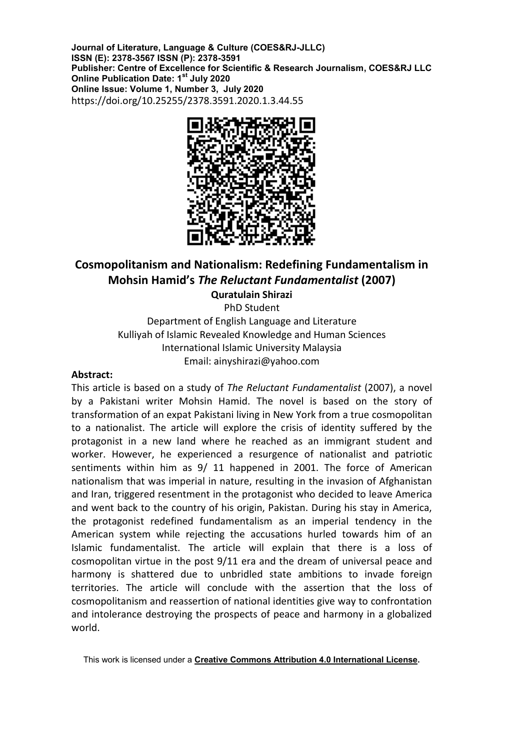**Journal of Literature, Language & Culture (COES&RJ-JLLC) ISSN (E): 2378-3567 ISSN (P): 2378-3591 Publisher: Centre of Excellence for Scientific & Research Journalism, COES&RJ LLC Online Publication Date: 1st July 2020 Online Issue: Volume 1, Number 3, July 2020** [https://doi.org/1](https://doi.org/10.1016/j.jacceco.2014.09.002)0.25255/2378.3591.2020.1.3.44.55



# **Cosmopolitanism and Nationalism: Redefining Fundamentalism in Mohsin Hamid's** *The Reluctant Fundamentalist* **(2007)**

**Quratulain Shirazi** PhD Student

Department of English Language and Literature Kulliyah of Islamic Revealed Knowledge and Human Sciences International Islamic University Malaysia Email: ainyshirazi@yahoo.com

# **Abstract:**

This article is based on a study of *The Reluctant Fundamentalist* (2007), a novel by a Pakistani writer Mohsin Hamid. The novel is based on the story of transformation of an expat Pakistani living in New York from a true cosmopolitan to a nationalist. The article will explore the crisis of identity suffered by the protagonist in a new land where he reached as an immigrant student and worker. However, he experienced a resurgence of nationalist and patriotic sentiments within him as 9/ 11 happened in 2001. The force of American nationalism that was imperial in nature, resulting in the invasion of Afghanistan and Iran, triggered resentment in the protagonist who decided to leave America and went back to the country of his origin, Pakistan. During his stay in America, the protagonist redefined fundamentalism as an imperial tendency in the American system while rejecting the accusations hurled towards him of an Islamic fundamentalist. The article will explain that there is a loss of cosmopolitan virtue in the post 9/11 era and the dream of universal peace and harmony is shattered due to unbridled state ambitions to invade foreign territories. The article will conclude with the assertion that the loss of cosmopolitanism and reassertion of national identities give way to confrontation and intolerance destroying the prospects of peace and harmony in a globalized world.

This work is licensed under a **[Creative Commons Attribution 4.0 International License.](http://creativecommons.org/licenses/by/4.0/)**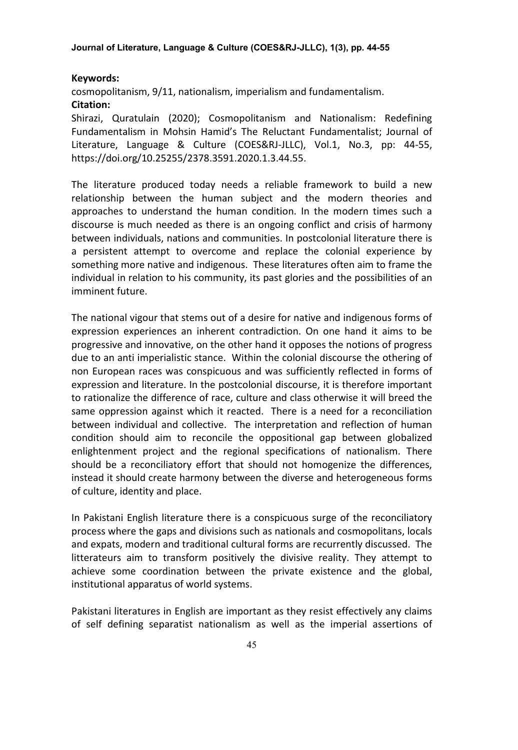## **Keywords:**

cosmopolitanism, 9/11, nationalism, imperialism and fundamentalism.

# **Citation:**

Shirazi, Quratulain (2020); Cosmopolitanism and Nationalism: Redefining Fundamentalism in Mohsin Hamid's The Reluctant Fundamentalist; Journal of Literature, Language & Culture (COES&RJ-JLLC), Vol.1, No.3, pp: 44-55, [https://doi.org/10.25255/2378.3591.2020.1.3.44.55.](https://doi.org/10.25255/2378.3591.2020.1.3.44.55)

The literature produced today needs a reliable framework to build a new relationship between the human subject and the modern theories and approaches to understand the human condition. In the modern times such a discourse is much needed as there is an ongoing conflict and crisis of harmony between individuals, nations and communities. In postcolonial literature there is a persistent attempt to overcome and replace the colonial experience by something more native and indigenous. These literatures often aim to frame the individual in relation to his community, its past glories and the possibilities of an imminent future.

The national vigour that stems out of a desire for native and indigenous forms of expression experiences an inherent contradiction. On one hand it aims to be progressive and innovative, on the other hand it opposes the notions of progress due to an anti imperialistic stance. Within the colonial discourse the othering of non European races was conspicuous and was sufficiently reflected in forms of expression and literature. In the postcolonial discourse, it is therefore important to rationalize the difference of race, culture and class otherwise it will breed the same oppression against which it reacted. There is a need for a reconciliation between individual and collective. The interpretation and reflection of human condition should aim to reconcile the oppositional gap between globalized enlightenment project and the regional specifications of nationalism. There should be a reconciliatory effort that should not homogenize the differences, instead it should create harmony between the diverse and heterogeneous forms of culture, identity and place.

In Pakistani English literature there is a conspicuous surge of the reconciliatory process where the gaps and divisions such as nationals and cosmopolitans, locals and expats, modern and traditional cultural forms are recurrently discussed. The litterateurs aim to transform positively the divisive reality. They attempt to achieve some coordination between the private existence and the global, institutional apparatus of world systems.

Pakistani literatures in English are important as they resist effectively any claims of self defining separatist nationalism as well as the imperial assertions of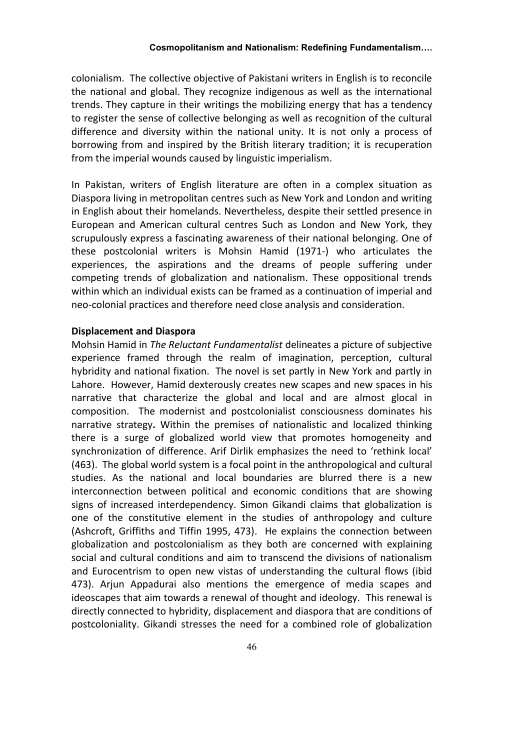colonialism. The collective objective of Pakistani writers in English is to reconcile the national and global. They recognize indigenous as well as the international trends. They capture in their writings the mobilizing energy that has a tendency to register the sense of collective belonging as well as recognition of the cultural difference and diversity within the national unity. It is not only a process of borrowing from and inspired by the British literary tradition; it is recuperation from the imperial wounds caused by linguistic imperialism.

In Pakistan, writers of English literature are often in a complex situation as Diaspora living in metropolitan centres such as New York and London and writing in English about their homelands. Nevertheless, despite their settled presence in European and American cultural centres Such as London and New York, they scrupulously express a fascinating awareness of their national belonging. One of these postcolonial writers is Mohsin Hamid (1971-) who articulates the experiences, the aspirations and the dreams of people suffering under competing trends of globalization and nationalism. These oppositional trends within which an individual exists can be framed as a continuation of imperial and neo-colonial practices and therefore need close analysis and consideration.

## **Displacement and Diaspora**

Mohsin Hamid in *The Reluctant Fundamentalist* delineates a picture of subjective experience framed through the realm of imagination, perception, cultural hybridity and national fixation. The novel is set partly in New York and partly in Lahore. However, Hamid dexterously creates new scapes and new spaces in his narrative that characterize the global and local and are almost glocal in composition. The modernist and postcolonialist consciousness dominates his narrative strategy**.** Within the premises of nationalistic and localized thinking there is a surge of globalized world view that promotes homogeneity and synchronization of difference. Arif Dirlik emphasizes the need to 'rethink local' (463). The global world system is a focal point in the anthropological and cultural studies. As the national and local boundaries are blurred there is a new interconnection between political and economic conditions that are showing signs of increased interdependency. Simon Gikandi claims that globalization is one of the constitutive element in the studies of anthropology and culture (Ashcroft, Griffiths and Tiffin 1995, 473). He explains the connection between globalization and postcolonialism as they both are concerned with explaining social and cultural conditions and aim to transcend the divisions of nationalism and Eurocentrism to open new vistas of understanding the cultural flows (ibid 473). Arjun Appadurai also mentions the emergence of media scapes and ideoscapes that aim towards a renewal of thought and ideology. This renewal is directly connected to hybridity, displacement and diaspora that are conditions of postcoloniality. Gikandi stresses the need for a combined role of globalization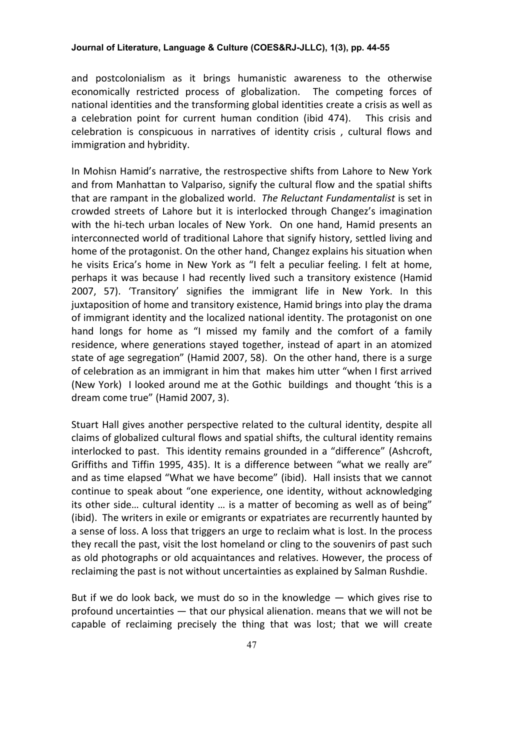## **Journal of Literature, Language & Culture (COES&RJ-JLLC), 1(3), pp. 44-55**

and postcolonialism as it brings humanistic awareness to the otherwise economically restricted process of globalization. The competing forces of national identities and the transforming global identities create a crisis as well as a celebration point for current human condition (ibid 474). This crisis and celebration is conspicuous in narratives of identity crisis , cultural flows and immigration and hybridity.

In Mohisn Hamid's narrative, the restrospective shifts from Lahore to New York and from Manhattan to Valpariso, signify the cultural flow and the spatial shifts that are rampant in the globalized world. *The Reluctant Fundamentalist* is set in crowded streets of Lahore but it is interlocked through Changez's imagination with the hi-tech urban locales of New York. On one hand, Hamid presents an interconnected world of traditional Lahore that signify history, settled living and home of the protagonist. On the other hand, Changez explains his situation when he visits Erica's home in New York as "I felt a peculiar feeling. I felt at home, perhaps it was because I had recently lived such a transitory existence (Hamid 2007, 57). 'Transitory' signifies the immigrant life in New York. In this juxtaposition of home and transitory existence, Hamid brings into play the drama of immigrant identity and the localized national identity. The protagonist on one hand longs for home as "I missed my family and the comfort of a family residence, where generations stayed together, instead of apart in an atomized state of age segregation" (Hamid 2007, 58). On the other hand, there is a surge of celebration as an immigrant in him that makes him utter "when I first arrived (New York) I looked around me at the Gothic buildings and thought 'this is a dream come true" (Hamid 2007, 3).

Stuart Hall gives another perspective related to the cultural identity, despite all claims of globalized cultural flows and spatial shifts, the cultural identity remains interlocked to past. This identity remains grounded in a "difference" (Ashcroft, Griffiths and Tiffin 1995, 435). It is a difference between "what we really are" and as time elapsed "What we have become" (ibid). Hall insists that we cannot continue to speak about "one experience, one identity, without acknowledging its other side… cultural identity … is a matter of becoming as well as of being" (ibid). The writers in exile or emigrants or expatriates are recurrently haunted by a sense of loss. A loss that triggers an urge to reclaim what is lost. In the process they recall the past, visit the lost homeland or cling to the souvenirs of past such as old photographs or old acquaintances and relatives. However, the process of reclaiming the past is not without uncertainties as explained by Salman Rushdie.

But if we do look back, we must do so in the knowledge — which gives rise to profound uncertainties — that our physical alienation. means that we will not be capable of reclaiming precisely the thing that was lost; that we will create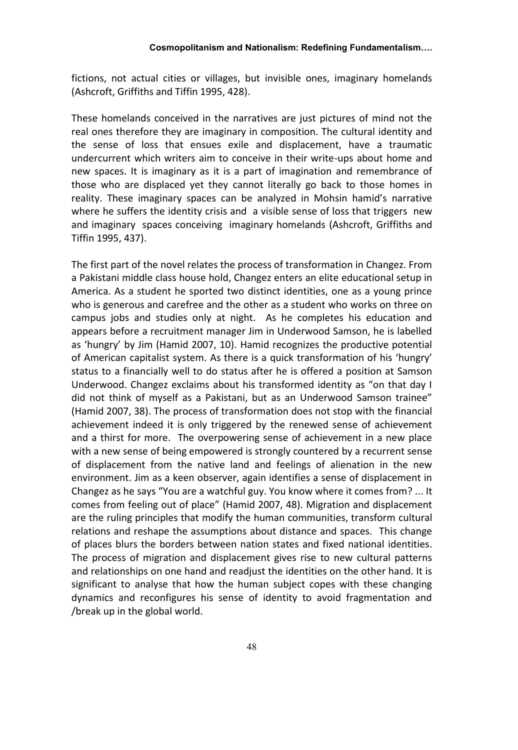fictions, not actual cities or villages, but invisible ones, imaginary homelands (Ashcroft, Griffiths and Tiffin 1995, 428).

These homelands conceived in the narratives are just pictures of mind not the real ones therefore they are imaginary in composition. The cultural identity and the sense of loss that ensues exile and displacement, have a traumatic undercurrent which writers aim to conceive in their write-ups about home and new spaces. It is imaginary as it is a part of imagination and remembrance of those who are displaced yet they cannot literally go back to those homes in reality. These imaginary spaces can be analyzed in Mohsin hamid's narrative where he suffers the identity crisis and a visible sense of loss that triggers new and imaginary spaces conceiving imaginary homelands (Ashcroft, Griffiths and Tiffin 1995, 437).

The first part of the novel relates the process of transformation in Changez. From a Pakistani middle class house hold, Changez enters an elite educational setup in America. As a student he sported two distinct identities, one as a young prince who is generous and carefree and the other as a student who works on three on campus jobs and studies only at night. As he completes his education and appears before a recruitment manager Jim in Underwood Samson, he is labelled as 'hungry' by Jim (Hamid 2007, 10). Hamid recognizes the productive potential of American capitalist system. As there is a quick transformation of his 'hungry' status to a financially well to do status after he is offered a position at Samson Underwood. Changez exclaims about his transformed identity as "on that day I did not think of myself as a Pakistani, but as an Underwood Samson trainee" (Hamid 2007, 38). The process of transformation does not stop with the financial achievement indeed it is only triggered by the renewed sense of achievement and a thirst for more. The overpowering sense of achievement in a new place with a new sense of being empowered is strongly countered by a recurrent sense of displacement from the native land and feelings of alienation in the new environment. Jim as a keen observer, again identifies a sense of displacement in Changez as he says "You are a watchful guy. You know where it comes from? ... It comes from feeling out of place" (Hamid 2007, 48). Migration and displacement are the ruling principles that modify the human communities, transform cultural relations and reshape the assumptions about distance and spaces. This change of places blurs the borders between nation states and fixed national identities. The process of migration and displacement gives rise to new cultural patterns and relationships on one hand and readjust the identities on the other hand. It is significant to analyse that how the human subject copes with these changing dynamics and reconfigures his sense of identity to avoid fragmentation and /break up in the global world.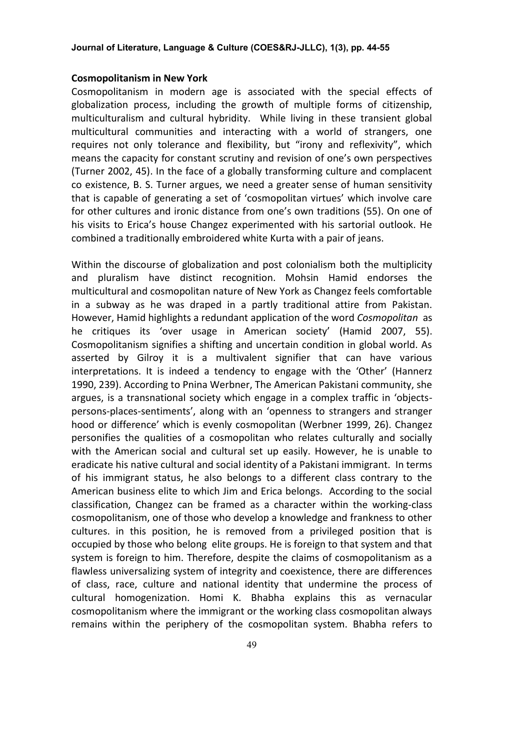## **Cosmopolitanism in New York**

Cosmopolitanism in modern age is associated with the special effects of globalization process, including the growth of multiple forms of citizenship, multiculturalism and cultural hybridity. While living in these transient global multicultural communities and interacting with a world of strangers, one requires not only tolerance and flexibility, but "irony and reflexivity", which means the capacity for constant scrutiny and revision of one's own perspectives (Turner 2002, 45). In the face of a globally transforming culture and complacent co existence, B. S. Turner argues, we need a greater sense of human sensitivity that is capable of generating a set of 'cosmopolitan virtues' which involve care for other cultures and ironic distance from one's own traditions (55). On one of his visits to Erica's house Changez experimented with his sartorial outlook. He combined a traditionally embroidered white Kurta with a pair of jeans.

Within the discourse of globalization and post colonialism both the multiplicity and pluralism have distinct recognition. Mohsin Hamid endorses the multicultural and cosmopolitan nature of New York as Changez feels comfortable in a subway as he was draped in a partly traditional attire from Pakistan. However, Hamid highlights a redundant application of the word *Cosmopolitan* as he critiques its 'over usage in American society' (Hamid 2007, 55). Cosmopolitanism signifies a shifting and uncertain condition in global world. As asserted by Gilroy it is a multivalent signifier that can have various interpretations. It is indeed a tendency to engage with the 'Other' (Hannerz 1990, 239). According to Pnina Werbner, The American Pakistani community, she argues, is a transnational society which engage in a complex traffic in 'objectspersons-places-sentiments', along with an 'openness to strangers and stranger hood or difference' which is evenly cosmopolitan (Werbner 1999, 26). Changez personifies the qualities of a cosmopolitan who relates culturally and socially with the American social and cultural set up easily. However, he is unable to eradicate his native cultural and social identity of a Pakistani immigrant. In terms of his immigrant status, he also belongs to a different class contrary to the American business elite to which Jim and Erica belongs. According to the social classification, Changez can be framed as a character within the working-class cosmopolitanism, one of those who develop a knowledge and frankness to other cultures. in this position, he is removed from a privileged position that is occupied by those who belong elite groups. He is foreign to that system and that system is foreign to him. Therefore, despite the claims of cosmopolitanism as a flawless universalizing system of integrity and coexistence, there are differences of class, race, culture and national identity that undermine the process of cultural homogenization. Homi K. Bhabha explains this as vernacular cosmopolitanism where the immigrant or the working class cosmopolitan always remains within the periphery of the cosmopolitan system. Bhabha refers to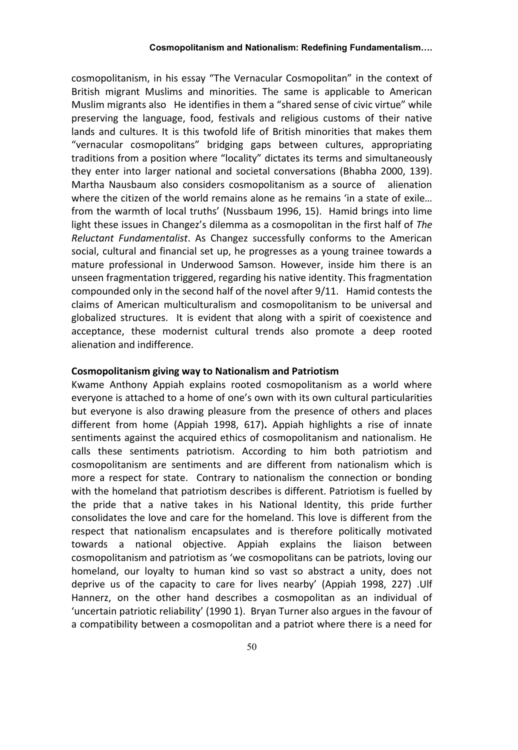#### **Cosmopolitanism and Nationalism: Redefining Fundamentalism….**

cosmopolitanism, in his essay "The Vernacular Cosmopolitan" in the context of British migrant Muslims and minorities. The same is applicable to American Muslim migrants also He identifies in them a "shared sense of civic virtue" while preserving the language, food, festivals and religious customs of their native lands and cultures. It is this twofold life of British minorities that makes them "vernacular cosmopolitans" bridging gaps between cultures, appropriating traditions from a position where "locality" dictates its terms and simultaneously they enter into larger national and societal conversations (Bhabha 2000, 139). Martha Nausbaum also considers cosmopolitanism as a source of alienation where the citizen of the world remains alone as he remains 'in a state of exile... from the warmth of local truths' (Nussbaum 1996, 15). Hamid brings into lime light these issues in Changez's dilemma as a cosmopolitan in the first half of *The Reluctant Fundamentalist*. As Changez successfully conforms to the American social, cultural and financial set up, he progresses as a young trainee towards a mature professional in Underwood Samson. However, inside him there is an unseen fragmentation triggered, regarding his native identity. This fragmentation compounded only in the second half of the novel after 9/11. Hamid contests the claims of American multiculturalism and cosmopolitanism to be universal and globalized structures. It is evident that along with a spirit of coexistence and acceptance, these modernist cultural trends also promote a deep rooted alienation and indifference.

# **Cosmopolitanism giving way to Nationalism and Patriotism**

Kwame Anthony Appiah explains rooted cosmopolitanism as a world where everyone is attached to a home of one's own with its own cultural particularities but everyone is also drawing pleasure from the presence of others and places different from home (Appiah 1998, 617)**.** Appiah highlights a rise of innate sentiments against the acquired ethics of cosmopolitanism and nationalism. He calls these sentiments patriotism. According to him both patriotism and cosmopolitanism are sentiments and are different from nationalism which is more a respect for state. Contrary to nationalism the connection or bonding with the homeland that patriotism describes is different. Patriotism is fuelled by the pride that a native takes in his National Identity, this pride further consolidates the love and care for the homeland. This love is different from the respect that nationalism encapsulates and is therefore politically motivated towards a national objective. Appiah explains the liaison between cosmopolitanism and patriotism as 'we cosmopolitans can be patriots, loving our homeland, our loyalty to human kind so vast so abstract a unity, does not deprive us of the capacity to care for lives nearby' (Appiah 1998, 227) .Ulf Hannerz, on the other hand describes a cosmopolitan as an individual of 'uncertain patriotic reliability' (1990 1). Bryan Turner also argues in the favour of a compatibility between a cosmopolitan and a patriot where there is a need for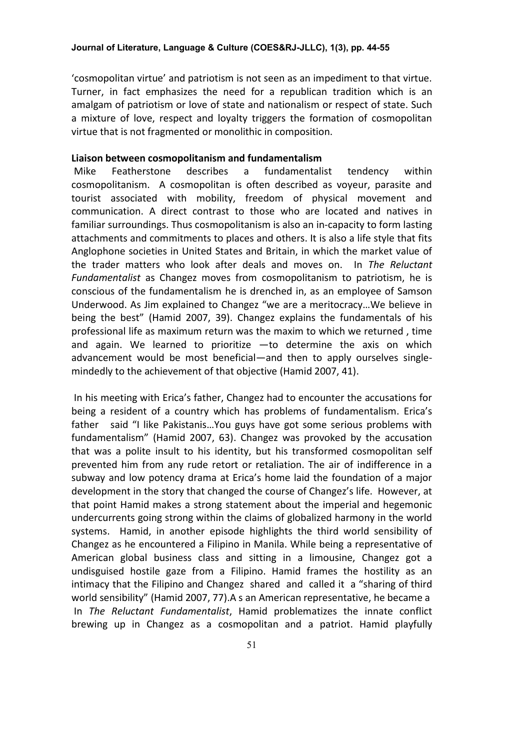'cosmopolitan virtue' and patriotism is not seen as an impediment to that virtue. Turner, in fact emphasizes the need for a republican tradition which is an amalgam of patriotism or love of state and nationalism or respect of state. Such a mixture of love, respect and loyalty triggers the formation of cosmopolitan virtue that is not fragmented or monolithic in composition.

## **Liaison between cosmopolitanism and fundamentalism**

Mike Featherstone describes a fundamentalist tendency within cosmopolitanism. A cosmopolitan is often described as voyeur, parasite and tourist associated with mobility, freedom of physical movement and communication. A direct contrast to those who are located and natives in familiar surroundings. Thus cosmopolitanism is also an in-capacity to form lasting attachments and commitments to places and others. It is also a life style that fits Anglophone societies in United States and Britain, in which the market value of the trader matters who look after deals and moves on. In *The Reluctant Fundamentalist* as Changez moves from cosmopolitanism to patriotism, he is conscious of the fundamentalism he is drenched in, as an employee of Samson Underwood. As Jim explained to Changez "we are a meritocracy…We believe in being the best" (Hamid 2007, 39). Changez explains the fundamentals of his professional life as maximum return was the maxim to which we returned , time and again. We learned to prioritize —to determine the axis on which advancement would be most beneficial—and then to apply ourselves singlemindedly to the achievement of that objective (Hamid 2007, 41).

In his meeting with Erica's father, Changez had to encounter the accusations for being a resident of a country which has problems of fundamentalism. Erica's father said "I like Pakistanis…You guys have got some serious problems with fundamentalism" (Hamid 2007, 63). Changez was provoked by the accusation that was a polite insult to his identity, but his transformed cosmopolitan self prevented him from any rude retort or retaliation. The air of indifference in a subway and low potency drama at Erica's home laid the foundation of a major development in the story that changed the course of Changez's life. However, at that point Hamid makes a strong statement about the imperial and hegemonic undercurrents going strong within the claims of globalized harmony in the world systems. Hamid, in another episode highlights the third world sensibility of Changez as he encountered a Filipino in Manila. While being a representative of American global business class and sitting in a limousine, Changez got a undisguised hostile gaze from a Filipino. Hamid frames the hostility as an intimacy that the Filipino and Changez shared and called it a "sharing of third world sensibility" (Hamid 2007, 77).A s an American representative, he became a In *The Reluctant Fundamentalist*, Hamid problematizes the innate conflict brewing up in Changez as a cosmopolitan and a patriot. Hamid playfully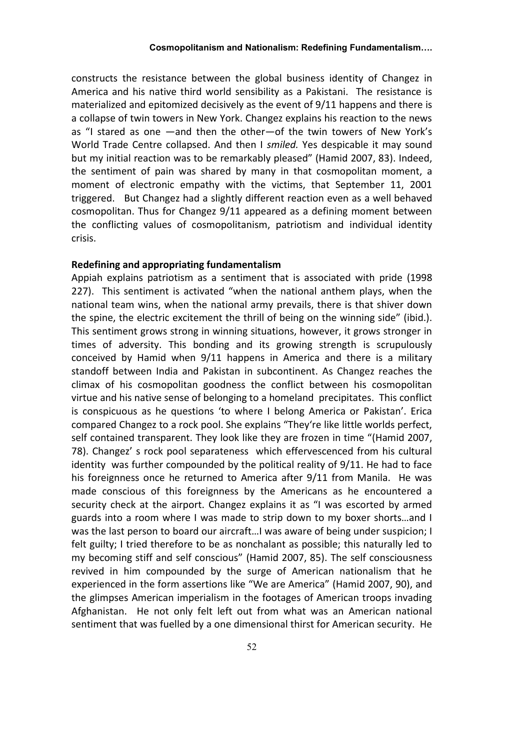constructs the resistance between the global business identity of Changez in America and his native third world sensibility as a Pakistani. The resistance is materialized and epitomized decisively as the event of 9/11 happens and there is a collapse of twin towers in New York. Changez explains his reaction to the news as "I stared as one —and then the other—of the twin towers of New York's World Trade Centre collapsed. And then I *smiled.* Yes despicable it may sound but my initial reaction was to be remarkably pleased" (Hamid 2007, 83). Indeed, the sentiment of pain was shared by many in that cosmopolitan moment, a moment of electronic empathy with the victims, that September 11, 2001 triggered. But Changez had a slightly different reaction even as a well behaved cosmopolitan. Thus for Changez 9/11 appeared as a defining moment between the conflicting values of cosmopolitanism, patriotism and individual identity crisis.

## **Redefining and appropriating fundamentalism**

Appiah explains patriotism as a sentiment that is associated with pride (1998 227). This sentiment is activated "when the national anthem plays, when the national team wins, when the national army prevails, there is that shiver down the spine, the electric excitement the thrill of being on the winning side" (ibid.). This sentiment grows strong in winning situations, however, it grows stronger in times of adversity. This bonding and its growing strength is scrupulously conceived by Hamid when 9/11 happens in America and there is a military standoff between India and Pakistan in subcontinent. As Changez reaches the climax of his cosmopolitan goodness the conflict between his cosmopolitan virtue and his native sense of belonging to a homeland precipitates. This conflict is conspicuous as he questions 'to where I belong America or Pakistan'. Erica compared Changez to a rock pool. She explains "They're like little worlds perfect, self contained transparent. They look like they are frozen in time "(Hamid 2007, 78). Changez' s rock pool separateness which effervescenced from his cultural identity was further compounded by the political reality of 9/11. He had to face his foreignness once he returned to America after 9/11 from Manila. He was made conscious of this foreignness by the Americans as he encountered a security check at the airport. Changez explains it as "I was escorted by armed guards into a room where I was made to strip down to my boxer shorts…and I was the last person to board our aircraft…I was aware of being under suspicion; I felt guilty; I tried therefore to be as nonchalant as possible; this naturally led to my becoming stiff and self conscious" (Hamid 2007, 85). The self consciousness revived in him compounded by the surge of American nationalism that he experienced in the form assertions like "We are America" (Hamid 2007, 90), and the glimpses American imperialism in the footages of American troops invading Afghanistan. He not only felt left out from what was an American national sentiment that was fuelled by a one dimensional thirst for American security. He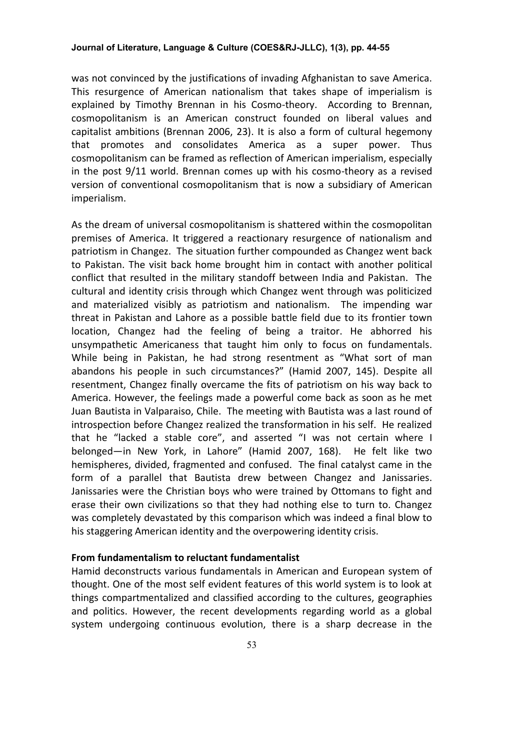## **Journal of Literature, Language & Culture (COES&RJ-JLLC), 1(3), pp. 44-55**

was not convinced by the justifications of invading Afghanistan to save America. This resurgence of American nationalism that takes shape of imperialism is explained by Timothy Brennan in his Cosmo-theory. According to Brennan, cosmopolitanism is an American construct founded on liberal values and capitalist ambitions (Brennan 2006, 23). It is also a form of cultural hegemony that promotes and consolidates America as a super power. Thus cosmopolitanism can be framed as reflection of American imperialism, especially in the post 9/11 world. Brennan comes up with his cosmo-theory as a revised version of conventional cosmopolitanism that is now a subsidiary of American imperialism.

As the dream of universal cosmopolitanism is shattered within the cosmopolitan premises of America. It triggered a reactionary resurgence of nationalism and patriotism in Changez. The situation further compounded as Changez went back to Pakistan. The visit back home brought him in contact with another political conflict that resulted in the military standoff between India and Pakistan. The cultural and identity crisis through which Changez went through was politicized and materialized visibly as patriotism and nationalism. The impending war threat in Pakistan and Lahore as a possible battle field due to its frontier town location, Changez had the feeling of being a traitor. He abhorred his unsympathetic Americaness that taught him only to focus on fundamentals. While being in Pakistan, he had strong resentment as "What sort of man abandons his people in such circumstances?" (Hamid 2007, 145). Despite all resentment, Changez finally overcame the fits of patriotism on his way back to America. However, the feelings made a powerful come back as soon as he met Juan Bautista in Valparaiso, Chile. The meeting with Bautista was a last round of introspection before Changez realized the transformation in his self. He realized that he "lacked a stable core", and asserted "I was not certain where I belonged—in New York, in Lahore" (Hamid 2007, 168). He felt like two hemispheres, divided, fragmented and confused. The final catalyst came in the form of a parallel that Bautista drew between Changez and Janissaries. Janissaries were the Christian boys who were trained by Ottomans to fight and erase their own civilizations so that they had nothing else to turn to. Changez was completely devastated by this comparison which was indeed a final blow to his staggering American identity and the overpowering identity crisis.

#### **From fundamentalism to reluctant fundamentalist**

Hamid deconstructs various fundamentals in American and European system of thought. One of the most self evident features of this world system is to look at things compartmentalized and classified according to the cultures, geographies and politics. However, the recent developments regarding world as a global system undergoing continuous evolution, there is a sharp decrease in the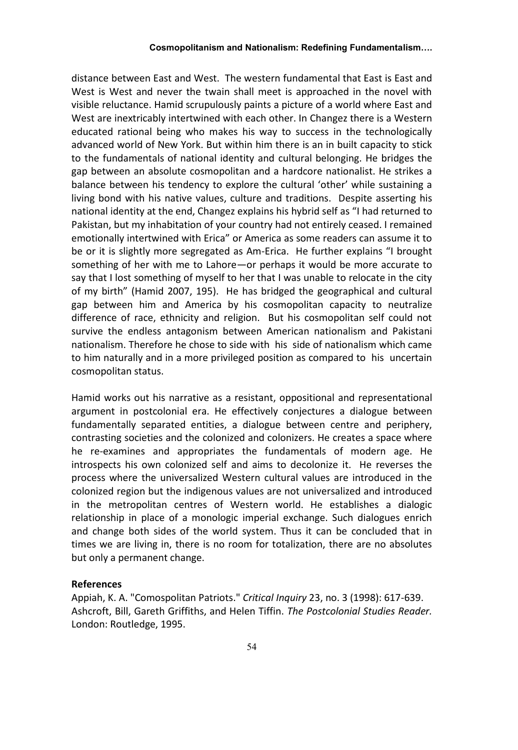#### **Cosmopolitanism and Nationalism: Redefining Fundamentalism….**

distance between East and West. The western fundamental that East is East and West is West and never the twain shall meet is approached in the novel with visible reluctance. Hamid scrupulously paints a picture of a world where East and West are inextricably intertwined with each other. In Changez there is a Western educated rational being who makes his way to success in the technologically advanced world of New York. But within him there is an in built capacity to stick to the fundamentals of national identity and cultural belonging. He bridges the gap between an absolute cosmopolitan and a hardcore nationalist. He strikes a balance between his tendency to explore the cultural 'other' while sustaining a living bond with his native values, culture and traditions. Despite asserting his national identity at the end, Changez explains his hybrid self as "I had returned to Pakistan, but my inhabitation of your country had not entirely ceased. I remained emotionally intertwined with Erica" or America as some readers can assume it to be or it is slightly more segregated as Am-Erica. He further explains "I brought something of her with me to Lahore—or perhaps it would be more accurate to say that I lost something of myself to her that I was unable to relocate in the city of my birth" (Hamid 2007, 195). He has bridged the geographical and cultural gap between him and America by his cosmopolitan capacity to neutralize difference of race, ethnicity and religion. But his cosmopolitan self could not survive the endless antagonism between American nationalism and Pakistani nationalism. Therefore he chose to side with his side of nationalism which came to him naturally and in a more privileged position as compared to his uncertain cosmopolitan status.

Hamid works out his narrative as a resistant, oppositional and representational argument in postcolonial era. He effectively conjectures a dialogue between fundamentally separated entities, a dialogue between centre and periphery, contrasting societies and the colonized and colonizers. He creates a space where he re-examines and appropriates the fundamentals of modern age. He introspects his own colonized self and aims to decolonize it. He reverses the process where the universalized Western cultural values are introduced in the colonized region but the indigenous values are not universalized and introduced in the metropolitan centres of Western world. He establishes a dialogic relationship in place of a monologic imperial exchange. Such dialogues enrich and change both sides of the world system. Thus it can be concluded that in times we are living in, there is no room for totalization, there are no absolutes but only a permanent change.

#### **References**

Appiah, K. A. "Comospolitan Patriots." *Critical Inquiry* 23, no. 3 (1998): 617-639. Ashcroft, Bill, Gareth Griffiths, and Helen Tiffin. *The Postcolonial Studies Reader.* London: Routledge, 1995.